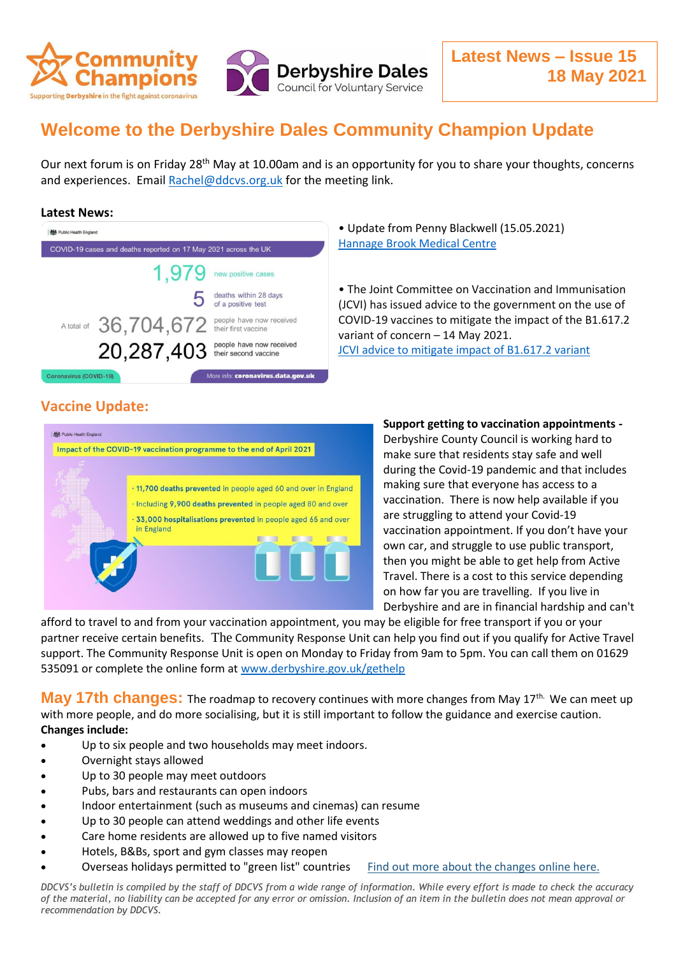

## **Welcome to the Derbyshire Dales Community Champion Update**

Our next forum is on Friday 28<sup>th</sup> May at 10.00am and is an opportunity for you to share your thoughts, concerns and experiences. Email [Rachel@ddcvs.org.uk](mailto:Rachel@ddcvs.org.uk) for the meeting link.

## **Latest News:**

| <b>機</b> Public Health England                                      |                                                  |
|---------------------------------------------------------------------|--------------------------------------------------|
| COVID-19 cases and deaths reported on 17 May 2021 across the UK     |                                                  |
| 1.979                                                               | new positive cases                               |
| b                                                                   | deaths within 28 days<br>of a positive test      |
| A total of 36,704,672 their first vaccine                           | people have now received                         |
| 20,287,403                                                          | people have now received<br>their second vaccine |
| More info: coronavirus.data.gov.uk<br><b>Coronavirus (COVID-19)</b> |                                                  |

• Update from Penny Blackwell (15.05.2021) [Hannage Brook Medical Centre](https://www.facebook.com/hannagebrook)

• The Joint Committee on Vaccination and Immunisation (JCVI) has issued advice to the government on the use of COVID-19 vaccines to mitigate the impact of the B1.617.2 variant of concern – 14 May 2021. [JCVI advice to mitigate impact of B1.617.2 variant](https://www.gov.uk/government/news/jcvi-advice-to-mitigate-impact-of-b1-617-2-variant)

## **Vaccine Update:**



## **Support getting to vaccination appointments -**

Derbyshire County Council is working hard to make sure that residents stay safe and well during the Covid-19 pandemic and that includes making sure that everyone has access to a vaccination. There is now help available if you are struggling to attend your Covid-19 vaccination appointment. If you don't have your own car, and struggle to use public transport, then you might be able to get help from Active Travel. There is a cost to this service depending on how far you are travelling. If you live in Derbyshire and are in financial hardship and can't

afford to travel to and from your vaccination appointment, you may be eligible for free transport if you or your partner receive certain benefits. The Community Response Unit can help you find out if you qualify for Active Travel support. The Community Response Unit is open on Monday to Friday from 9am to 5pm. You can call them on 01629 535091 or complete the online form at [www.derbyshire.gov.uk/gethelp](http://www.derbyshire.gov.uk/gethelp)

**May 17th changes:** The roadmap to recovery continues with more changes from May 17<sup>th.</sup> We can meet up with more people, and do more socialising, but it is still important to follow the guidance and exercise caution. **Changes include:**

- Up to six people and two households may meet indoors.
- Overnight stays allowed
- Up to 30 people may meet outdoors
- Pubs, bars and restaurants can open indoors
- Indoor entertainment (such as museums and cinemas) can resume
- Up to 30 people can attend weddings and other life events
- Care home residents are allowed up to five named visitors
- Hotels, B&Bs, sport and gym classes may reopen
- Overseas holidays permitted to "green list" countries [Find out more about the changes online here.](https://lnks.gd/l/eyJhbGciOiJIUzI1NiJ9.eyJidWxsZXRpbl9saW5rX2lkIjoxMDAsInVyaSI6ImJwMjpjbGljayIsImJ1bGxldGluX2lkIjoiMjAyMTA1MTcuNDA1NTE0MTEiLCJ1cmwiOiJodHRwczovL3d3dy5nb3YudWsvZ292ZXJubWVudC9wdWJsaWNhdGlvbnMvY292aWQtMTktcmVzcG9uc2Utc3ByaW5nLTIwMjEvY292aWQtMTktcmVzcG9uc2Utc3ByaW5nLTIwMjEtc3VtbWFyeSJ9.z_AY2eTeRcJUtHyky6pR3H_Bh-NSBW36PNGVlBxoa0A/s/796336729/br/106452779370-l)

*DDCVS's bulletin is compiled by the staff of DDCVS from a wide range of information. While every effort is made to check the accuracy of the material, no liability can be accepted for any error or omission. Inclusion of an item in the bulletin does not mean approval or recommendation by DDCVS.*